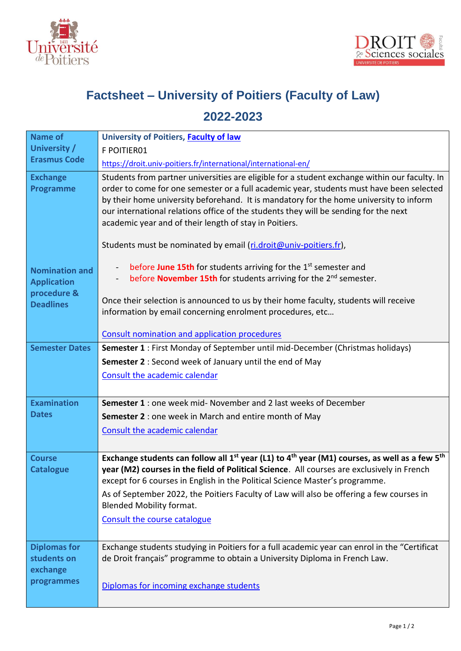



## **Factsheet – University of Poitiers (Faculty of Law)**

## **2022-2023**

| <b>Name of</b>                                                                 | University of Poitiers, Faculty of law                                                                                                                                                                                                                                                                                                                                                                                                |  |  |  |  |  |  |
|--------------------------------------------------------------------------------|---------------------------------------------------------------------------------------------------------------------------------------------------------------------------------------------------------------------------------------------------------------------------------------------------------------------------------------------------------------------------------------------------------------------------------------|--|--|--|--|--|--|
| University /                                                                   | F POITIER01                                                                                                                                                                                                                                                                                                                                                                                                                           |  |  |  |  |  |  |
| <b>Erasmus Code</b>                                                            | https://droit.univ-poitiers.fr/international/international-en/                                                                                                                                                                                                                                                                                                                                                                        |  |  |  |  |  |  |
| <b>Exchange</b><br>Programme                                                   | Students from partner universities are eligible for a student exchange within our faculty. In<br>order to come for one semester or a full academic year, students must have been selected<br>by their home university beforehand. It is mandatory for the home university to inform<br>our international relations office of the students they will be sending for the next<br>academic year and of their length of stay in Poitiers. |  |  |  |  |  |  |
|                                                                                | Students must be nominated by email (ri.droit@univ-poitiers.fr),                                                                                                                                                                                                                                                                                                                                                                      |  |  |  |  |  |  |
| <b>Nomination and</b><br><b>Application</b><br>procedure &<br><b>Deadlines</b> | before June 15th for students arriving for the 1 <sup>st</sup> semester and<br>before November 15th for students arriving for the 2 <sup>nd</sup> semester.<br>$\blacksquare$<br>Once their selection is announced to us by their home faculty, students will receive                                                                                                                                                                 |  |  |  |  |  |  |
|                                                                                | information by email concerning enrolment procedures, etc                                                                                                                                                                                                                                                                                                                                                                             |  |  |  |  |  |  |
|                                                                                | Consult nomination and application procedures                                                                                                                                                                                                                                                                                                                                                                                         |  |  |  |  |  |  |
| <b>Semester Dates</b>                                                          | <b>Semester 1</b> : First Monday of September until mid-December (Christmas holidays)                                                                                                                                                                                                                                                                                                                                                 |  |  |  |  |  |  |
|                                                                                | Semester 2 : Second week of January until the end of May                                                                                                                                                                                                                                                                                                                                                                              |  |  |  |  |  |  |
|                                                                                | Consult the academic calendar                                                                                                                                                                                                                                                                                                                                                                                                         |  |  |  |  |  |  |
| <b>Examination</b>                                                             | <b>Semester 1</b> : one week mid- November and 2 last weeks of December                                                                                                                                                                                                                                                                                                                                                               |  |  |  |  |  |  |
| <b>Dates</b>                                                                   | Semester 2 : one week in March and entire month of May                                                                                                                                                                                                                                                                                                                                                                                |  |  |  |  |  |  |
|                                                                                | Consult the academic calendar                                                                                                                                                                                                                                                                                                                                                                                                         |  |  |  |  |  |  |
|                                                                                |                                                                                                                                                                                                                                                                                                                                                                                                                                       |  |  |  |  |  |  |
| <b>Course</b><br><b>Catalogue</b>                                              | Exchange students can follow all $1^{st}$ year (L1) to $4^{th}$ year (M1) courses, as well as a few $5^{th}$<br>year (M2) courses in the field of Political Science. All courses are exclusively in French<br>except for 6 courses in English in the Political Science Master's programme.                                                                                                                                            |  |  |  |  |  |  |
|                                                                                | As of September 2022, the Poitiers Faculty of Law will also be offering a few courses in<br><b>Blended Mobility format.</b>                                                                                                                                                                                                                                                                                                           |  |  |  |  |  |  |
|                                                                                | Consult the course catalogue                                                                                                                                                                                                                                                                                                                                                                                                          |  |  |  |  |  |  |
| <b>Diplomas for</b><br>students on                                             | Exchange students studying in Poitiers for a full academic year can enrol in the "Certificat<br>de Droit français" programme to obtain a University Diploma in French Law.                                                                                                                                                                                                                                                            |  |  |  |  |  |  |
| exchange<br>programmes                                                         | Diplomas for incoming exchange students                                                                                                                                                                                                                                                                                                                                                                                               |  |  |  |  |  |  |